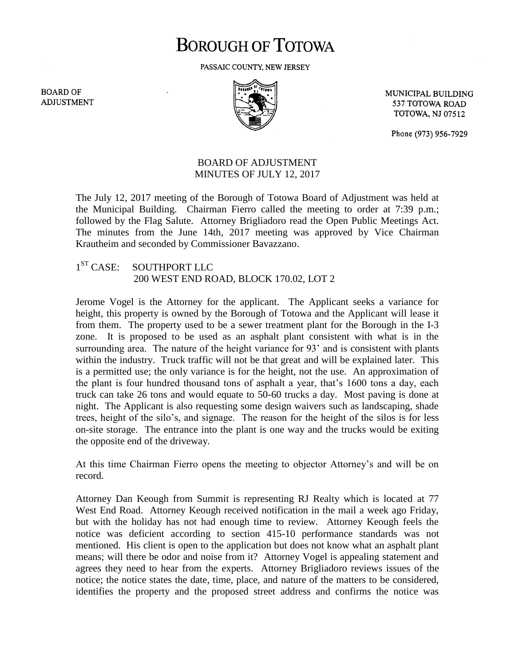## **BOROUGH OF TOTOWA**

PASSAIC COUNTY, NEW JERSEY

**BOARD OF ADJUSTMENT** 



MUNICIPAL BUILDING 537 TOTOWA ROAD **TOTOWA, NJ 07512** 

Phone (973) 956-7929

## BOARD OF ADJUSTMENT MINUTES OF JULY 12, 2017

The July 12, 2017 meeting of the Borough of Totowa Board of Adjustment was held at the Municipal Building. Chairman Fierro called the meeting to order at 7:39 p.m.; followed by the Flag Salute. Attorney Brigliadoro read the Open Public Meetings Act. The minutes from the June 14th, 2017 meeting was approved by Vice Chairman Krautheim and seconded by Commissioner Bavazzano.

## $1<sup>ST</sup> CASE:$ SOUTHPORT LLC 200 WEST END ROAD, BLOCK 170.02, LOT 2

Jerome Vogel is the Attorney for the applicant. The Applicant seeks a variance for height, this property is owned by the Borough of Totowa and the Applicant will lease it from them. The property used to be a sewer treatment plant for the Borough in the I-3 zone. It is proposed to be used as an asphalt plant consistent with what is in the surrounding area. The nature of the height variance for 93' and is consistent with plants within the industry. Truck traffic will not be that great and will be explained later. This is a permitted use; the only variance is for the height, not the use. An approximation of the plant is four hundred thousand tons of asphalt a year, that's 1600 tons a day, each truck can take 26 tons and would equate to 50-60 trucks a day. Most paving is done at night. The Applicant is also requesting some design waivers such as landscaping, shade trees, height of the silo's, and signage. The reason for the height of the silos is for less on-site storage. The entrance into the plant is one way and the trucks would be exiting the opposite end of the driveway.

At this time Chairman Fierro opens the meeting to objector Attorney's and will be on record.

Attorney Dan Keough from Summit is representing RJ Realty which is located at 77 West End Road. Attorney Keough received notification in the mail a week ago Friday, but with the holiday has not had enough time to review. Attorney Keough feels the notice was deficient according to section 415-10 performance standards was not mentioned. His client is open to the application but does not know what an asphalt plant means; will there be odor and noise from it? Attorney Vogel is appealing statement and agrees they need to hear from the experts. Attorney Brigliadoro reviews issues of the notice; the notice states the date, time, place, and nature of the matters to be considered, identifies the property and the proposed street address and confirms the notice was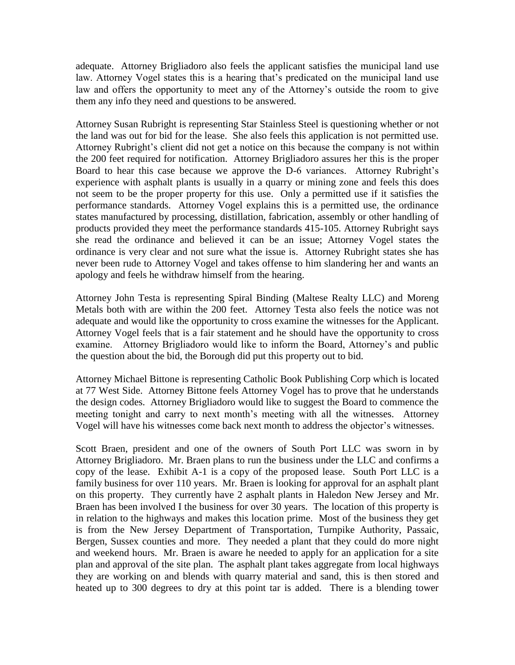adequate. Attorney Brigliadoro also feels the applicant satisfies the municipal land use law. Attorney Vogel states this is a hearing that's predicated on the municipal land use law and offers the opportunity to meet any of the Attorney's outside the room to give them any info they need and questions to be answered.

Attorney Susan Rubright is representing Star Stainless Steel is questioning whether or not the land was out for bid for the lease. She also feels this application is not permitted use. Attorney Rubright's client did not get a notice on this because the company is not within the 200 feet required for notification. Attorney Brigliadoro assures her this is the proper Board to hear this case because we approve the D-6 variances. Attorney Rubright's experience with asphalt plants is usually in a quarry or mining zone and feels this does not seem to be the proper property for this use. Only a permitted use if it satisfies the performance standards. Attorney Vogel explains this is a permitted use, the ordinance states manufactured by processing, distillation, fabrication, assembly or other handling of products provided they meet the performance standards 415-105. Attorney Rubright says she read the ordinance and believed it can be an issue; Attorney Vogel states the ordinance is very clear and not sure what the issue is. Attorney Rubright states she has never been rude to Attorney Vogel and takes offense to him slandering her and wants an apology and feels he withdraw himself from the hearing.

Attorney John Testa is representing Spiral Binding (Maltese Realty LLC) and Moreng Metals both with are within the 200 feet. Attorney Testa also feels the notice was not adequate and would like the opportunity to cross examine the witnesses for the Applicant. Attorney Vogel feels that is a fair statement and he should have the opportunity to cross examine. Attorney Brigliadoro would like to inform the Board, Attorney's and public the question about the bid, the Borough did put this property out to bid.

Attorney Michael Bittone is representing Catholic Book Publishing Corp which is located at 77 West Side. Attorney Bittone feels Attorney Vogel has to prove that he understands the design codes. Attorney Brigliadoro would like to suggest the Board to commence the meeting tonight and carry to next month's meeting with all the witnesses. Attorney Vogel will have his witnesses come back next month to address the objector's witnesses.

Scott Braen, president and one of the owners of South Port LLC was sworn in by Attorney Brigliadoro. Mr. Braen plans to run the business under the LLC and confirms a copy of the lease. Exhibit A-1 is a copy of the proposed lease. South Port LLC is a family business for over 110 years. Mr. Braen is looking for approval for an asphalt plant on this property. They currently have 2 asphalt plants in Haledon New Jersey and Mr. Braen has been involved I the business for over 30 years. The location of this property is in relation to the highways and makes this location prime. Most of the business they get is from the New Jersey Department of Transportation, Turnpike Authority, Passaic, Bergen, Sussex counties and more. They needed a plant that they could do more night and weekend hours. Mr. Braen is aware he needed to apply for an application for a site plan and approval of the site plan. The asphalt plant takes aggregate from local highways they are working on and blends with quarry material and sand, this is then stored and heated up to 300 degrees to dry at this point tar is added. There is a blending tower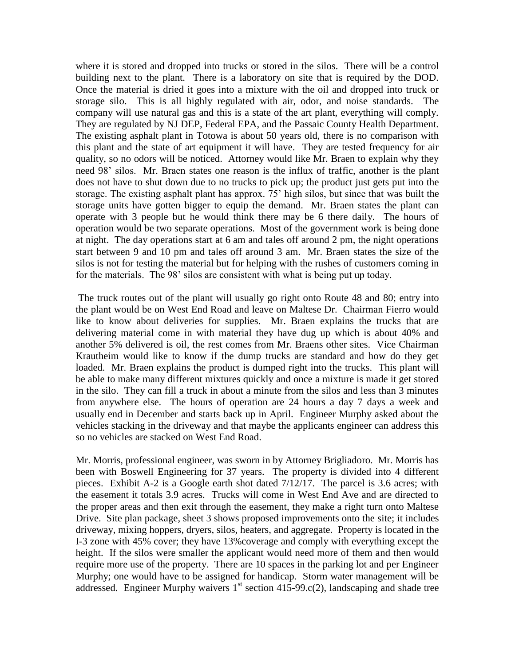where it is stored and dropped into trucks or stored in the silos. There will be a control building next to the plant. There is a laboratory on site that is required by the DOD. Once the material is dried it goes into a mixture with the oil and dropped into truck or storage silo. This is all highly regulated with air, odor, and noise standards. The company will use natural gas and this is a state of the art plant, everything will comply. They are regulated by NJ DEP, Federal EPA, and the Passaic County Health Department. The existing asphalt plant in Totowa is about 50 years old, there is no comparison with this plant and the state of art equipment it will have. They are tested frequency for air quality, so no odors will be noticed. Attorney would like Mr. Braen to explain why they need 98' silos. Mr. Braen states one reason is the influx of traffic, another is the plant does not have to shut down due to no trucks to pick up; the product just gets put into the storage. The existing asphalt plant has approx. 75' high silos, but since that was built the storage units have gotten bigger to equip the demand. Mr. Braen states the plant can operate with 3 people but he would think there may be 6 there daily. The hours of operation would be two separate operations. Most of the government work is being done at night. The day operations start at 6 am and tales off around 2 pm, the night operations start between 9 and 10 pm and tales off around 3 am. Mr. Braen states the size of the silos is not for testing the material but for helping with the rushes of customers coming in for the materials. The 98' silos are consistent with what is being put up today.

The truck routes out of the plant will usually go right onto Route 48 and 80; entry into the plant would be on West End Road and leave on Maltese Dr. Chairman Fierro would like to know about deliveries for supplies. Mr. Braen explains the trucks that are delivering material come in with material they have dug up which is about 40% and another 5% delivered is oil, the rest comes from Mr. Braens other sites. Vice Chairman Krautheim would like to know if the dump trucks are standard and how do they get loaded. Mr. Braen explains the product is dumped right into the trucks. This plant will be able to make many different mixtures quickly and once a mixture is made it get stored in the silo. They can fill a truck in about a minute from the silos and less than 3 minutes from anywhere else. The hours of operation are 24 hours a day 7 days a week and usually end in December and starts back up in April. Engineer Murphy asked about the vehicles stacking in the driveway and that maybe the applicants engineer can address this so no vehicles are stacked on West End Road.

Mr. Morris, professional engineer, was sworn in by Attorney Brigliadoro. Mr. Morris has been with Boswell Engineering for 37 years. The property is divided into 4 different pieces. Exhibit A-2 is a Google earth shot dated 7/12/17. The parcel is 3.6 acres; with the easement it totals 3.9 acres. Trucks will come in West End Ave and are directed to the proper areas and then exit through the easement, they make a right turn onto Maltese Drive. Site plan package, sheet 3 shows proposed improvements onto the site; it includes driveway, mixing hoppers, dryers, silos, heaters, and aggregate. Property is located in the I-3 zone with 45% cover; they have 13%coverage and comply with everything except the height. If the silos were smaller the applicant would need more of them and then would require more use of the property. There are 10 spaces in the parking lot and per Engineer Murphy; one would have to be assigned for handicap. Storm water management will be addressed. Engineer Murphy waivers  $1<sup>st</sup>$  section 415-99.c(2), landscaping and shade tree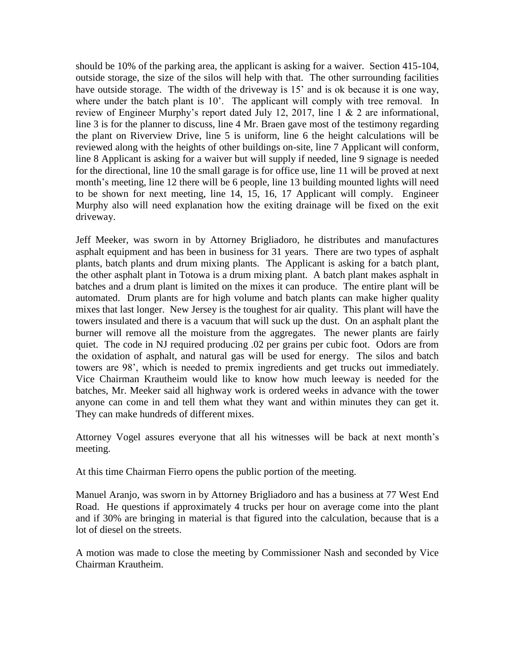should be 10% of the parking area, the applicant is asking for a waiver. Section 415-104, outside storage, the size of the silos will help with that. The other surrounding facilities have outside storage. The width of the driveway is 15<sup>'</sup> and is ok because it is one way, where under the batch plant is 10'. The applicant will comply with tree removal. In review of Engineer Murphy's report dated July 12, 2017, line 1 & 2 are informational, line 3 is for the planner to discuss, line 4 Mr. Braen gave most of the testimony regarding the plant on Riverview Drive, line 5 is uniform, line 6 the height calculations will be reviewed along with the heights of other buildings on-site, line 7 Applicant will conform, line 8 Applicant is asking for a waiver but will supply if needed, line 9 signage is needed for the directional, line 10 the small garage is for office use, line 11 will be proved at next month's meeting, line 12 there will be 6 people, line 13 building mounted lights will need to be shown for next meeting, line 14, 15, 16, 17 Applicant will comply. Engineer Murphy also will need explanation how the exiting drainage will be fixed on the exit driveway.

Jeff Meeker, was sworn in by Attorney Brigliadoro, he distributes and manufactures asphalt equipment and has been in business for 31 years. There are two types of asphalt plants, batch plants and drum mixing plants. The Applicant is asking for a batch plant, the other asphalt plant in Totowa is a drum mixing plant. A batch plant makes asphalt in batches and a drum plant is limited on the mixes it can produce. The entire plant will be automated. Drum plants are for high volume and batch plants can make higher quality mixes that last longer. New Jersey is the toughest for air quality. This plant will have the towers insulated and there is a vacuum that will suck up the dust. On an asphalt plant the burner will remove all the moisture from the aggregates. The newer plants are fairly quiet. The code in NJ required producing .02 per grains per cubic foot. Odors are from the oxidation of asphalt, and natural gas will be used for energy. The silos and batch towers are 98', which is needed to premix ingredients and get trucks out immediately. Vice Chairman Krautheim would like to know how much leeway is needed for the batches, Mr. Meeker said all highway work is ordered weeks in advance with the tower anyone can come in and tell them what they want and within minutes they can get it. They can make hundreds of different mixes.

Attorney Vogel assures everyone that all his witnesses will be back at next month's meeting.

At this time Chairman Fierro opens the public portion of the meeting.

Manuel Aranjo, was sworn in by Attorney Brigliadoro and has a business at 77 West End Road. He questions if approximately 4 trucks per hour on average come into the plant and if 30% are bringing in material is that figured into the calculation, because that is a lot of diesel on the streets.

A motion was made to close the meeting by Commissioner Nash and seconded by Vice Chairman Krautheim.